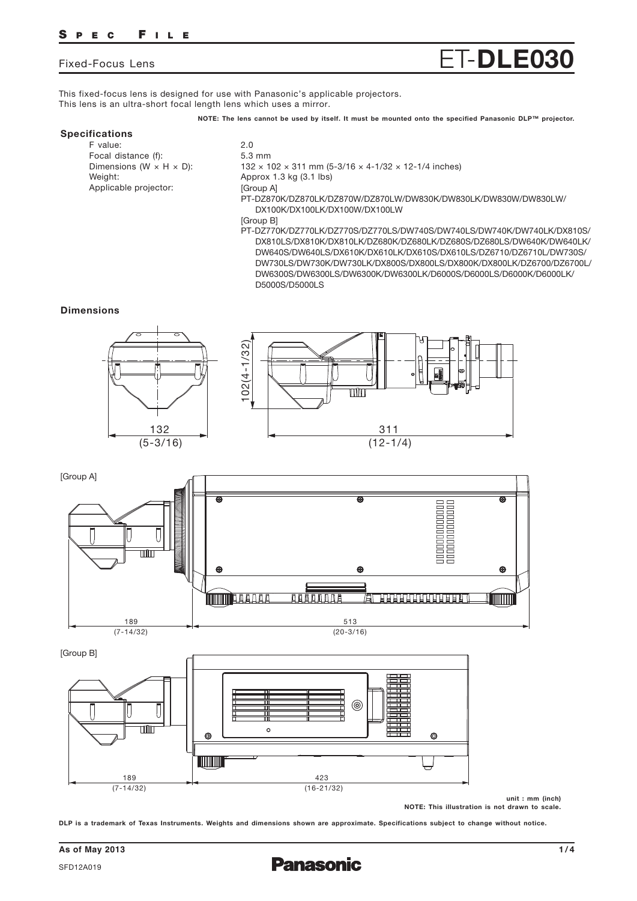## **S PEC F ILE**

## Fixed-Focus Lens ET-**DLE030**

This fixed-focus lens is designed for use with Panasonic's applicable projectors. This lens is an ultra-short focal length lens which uses a mirror.

**NOTE: The lens cannot be used by itself. It must be mounted onto the specified Panasonic DLP™ projector.**

## **Specifications**

F value: 2.0 Focal distance (f): 5.3 mm<br>Dimensions (W  $\times$  H  $\times$  D): 5.3 mm<br>132  $\times$  1 Weight: Meight: Approx 1.3 kg (3.1 lbs) Applicable projector:

- $132 \times 102 \times 311$  mm (5-3/16  $\times$  4-1/32  $\times$  12-1/4 inches) [Group A] PT-DZ870K/DZ870LK/DZ870W/DZ870LW/DW830K/DW830LK/DW830W/DW830LW/ DX100K/DX100LK/DX100W/DX100LW [Group B] PT-DZ770K/DZ770LK/DZ770S/DZ770LS/DW740S/DW740LS/DW740K/DW740LK/DX810S/
	- DX810LS/DX810K/DX810LK/DZ680K/DZ680LK/DZ680S/DZ680LS/DW640K/DW640LK/ DW640S/DW640LS/DX610K/DX610LK/DX610S/DX610LS/DZ6710/DZ6710L/DW730S/ DW730LS/DW730K/DW730LK/DX800S/DX800LS/DX800K/DX800LK/DZ6700/DZ6700L/ DW6300S/DW6300LS/DW6300K/DW6300LK/D6000S/D6000LS/D6000K/D6000LK/ D5000S/D5000LS

#### **Dimensions**





(20-3/16)



**unit : mm (inch) NOTE: This illustration is not drawn to scale.**

**DLP is a trademark of Texas Instruments. Weights and dimensions shown are approximate. Specifications subject to change without notice.**

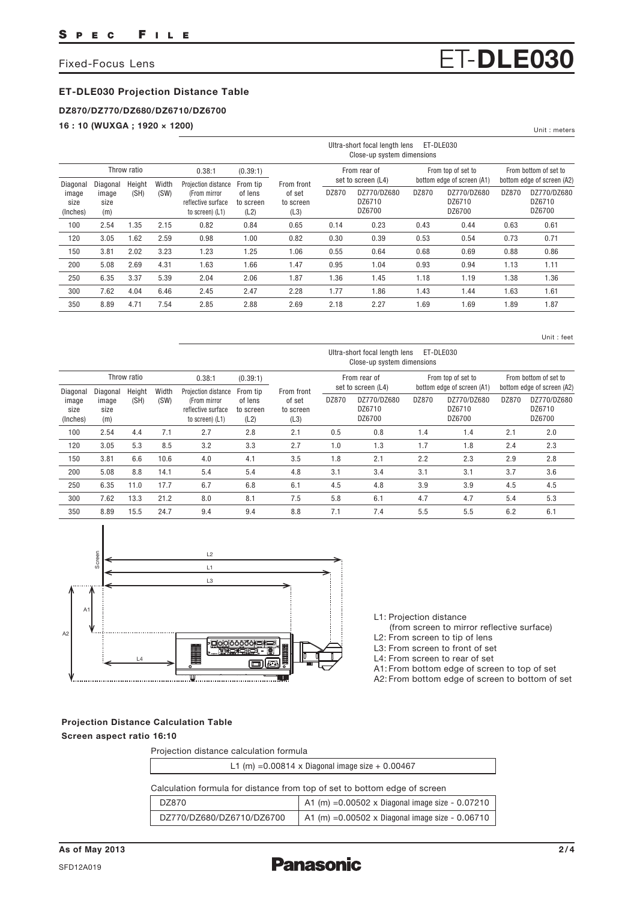## **ET-DLE030 Projection Distance Table**

## **DZ870/DZ770/DZ680/DZ6710/DZ6700**

**16 : 10 (WUXGA ; 1920 × 1200)**

|                                       |                                  |                |               |                                                                              |                                          |                                           |       | Ultra-short focal length lens<br>Close-up system dimensions |       | ET-DLE030                                        |       |                                                     |
|---------------------------------------|----------------------------------|----------------|---------------|------------------------------------------------------------------------------|------------------------------------------|-------------------------------------------|-------|-------------------------------------------------------------|-------|--------------------------------------------------|-------|-----------------------------------------------------|
|                                       |                                  | Throw ratio    |               | 0.38:1                                                                       | (0.39:1)                                 |                                           |       | From rear of                                                |       | From top of set to<br>bottom edge of screen (A1) |       | From bottom of set to<br>bottom edge of screen (A2) |
| Diagonal<br>image<br>size<br>(Inches) | Diagonal<br>image<br>size<br>(m) | Height<br>(SH) | Width<br>(SW) | Projection distance<br>(From mirror<br>reflective surface<br>to screen) (L1) | From tip<br>of lens<br>to screen<br>(L2) | From front<br>of set<br>to screen<br>(L3) | DZ870 | set to screen (L4)<br>DZ770/DZ680<br>DZ6710<br>DZ6700       | DZ870 | DZ770/DZ680<br>DZ6710<br>DZ6700                  | DZ870 | DZ770/DZ680<br>DZ6710<br>DZ6700                     |
| 100                                   | 2.54                             | 1.35           | 2.15          | 0.82                                                                         | 0.84                                     | 0.65                                      | 0.14  | 0.23                                                        | 0.43  | 0.44                                             | 0.63  | 0.61                                                |
| 120                                   | 3.05                             | 1.62           | 2.59          | 0.98                                                                         | 1.00                                     | 0.82                                      | 0.30  | 0.39                                                        | 0.53  | 0.54                                             | 0.73  | 0.71                                                |
| 150                                   | 3.81                             | 2.02           | 3.23          | 1.23                                                                         | 1.25                                     | 1.06                                      | 0.55  | 0.64                                                        | 0.68  | 0.69                                             | 0.88  | 0.86                                                |
| 200                                   | 5.08                             | 2.69           | 4.31          | 1.63                                                                         | 1.66                                     | 1.47                                      | 0.95  | 1.04                                                        | 0.93  | 0.94                                             | 1.13  | 1.11                                                |
| 250                                   | 6.35                             | 3.37           | 5.39          | 2.04                                                                         | 2.06                                     | 1.87                                      | 1.36  | 1.45                                                        | 1.18  | 1.19                                             | 1.38  | 1.36                                                |
| 300                                   | 7.62                             | 4.04           | 6.46          | 2.45                                                                         | 2.47                                     | 2.28                                      | 1.77  | 1.86                                                        | 1.43  | 1.44                                             | 1.63  | 1.61                                                |
| 350                                   | 8.89                             | 4.71           | 7.54          | 2.85                                                                         | 2.88                                     | 2.69                                      | 2.18  | 2.27                                                        | 1.69  | 1.69                                             | 1.89  | 1.87                                                |

Unit : feet

Unit : meters

|                                       |                                  |                |               |                                                                              |                                          |                                           |       | Ultra-short focal length lens<br>Close-up system dimensions |       | ET-DLE030                                                     |                       |                                                               |
|---------------------------------------|----------------------------------|----------------|---------------|------------------------------------------------------------------------------|------------------------------------------|-------------------------------------------|-------|-------------------------------------------------------------|-------|---------------------------------------------------------------|-----------------------|---------------------------------------------------------------|
|                                       |                                  | Throw ratio    |               | 0.38:1                                                                       | (0.39:1)                                 |                                           |       | From rear of                                                |       | From top of set to                                            | From bottom of set to |                                                               |
| Diagonal<br>image<br>size<br>(Inches) | Diagonal<br>image<br>size<br>(m) | Height<br>(SH) | Width<br>(SW) | Projection distance<br>(From mirror<br>reflective surface<br>to screen) (L1) | From tip<br>of lens<br>to screen<br>(L2) | From front<br>of set<br>to screen<br>(L3) | DZ870 | set to screen (L4)<br>DZ770/DZ680<br>DZ6710<br>DZ6700       | DZ870 | bottom edge of screen (A1)<br>DZ770/DZ680<br>DZ6710<br>DZ6700 | DZ870                 | bottom edge of screen (A2)<br>DZ770/DZ680<br>DZ6710<br>DZ6700 |
| 100                                   | 2.54                             | 4.4            | 7.1           | 2.7                                                                          | 2.8                                      | 2.1                                       | 0.5   | 0.8                                                         | 1.4   | 1.4                                                           | 2.1                   | 2.0                                                           |
| 120                                   | 3.05                             | 5.3            | 8.5           | 3.2                                                                          | 3.3                                      | 2.7                                       | 1.0   | 1.3                                                         | 1.7   | 1.8                                                           | 2.4                   | 2.3                                                           |
| 150                                   | 3.81                             | 6.6            | 10.6          | 4.0                                                                          | 4.1                                      | 3.5                                       | 1.8   | 2.1                                                         | 2.2   | 2.3                                                           | 2.9                   | 2.8                                                           |
| 200                                   | 5.08                             | 8.8            | 14.1          | 5.4                                                                          | 5.4                                      | 4.8                                       | 3.1   | 3.4                                                         | 3.1   | 3.1                                                           | 3.7                   | 3.6                                                           |
| 250                                   | 6.35                             | 11.0           | 17.7          | 6.7                                                                          | 6.8                                      | 6.1                                       | 4.5   | 4.8                                                         | 3.9   | 3.9                                                           | 4.5                   | 4.5                                                           |
| 300                                   | 7.62                             | 13.3           | 21.2          | 8.0                                                                          | 8.1                                      | 7.5                                       | 5.8   | 6.1                                                         | 4.7   | 4.7                                                           | 5.4                   | 5.3                                                           |
| 350                                   | 8.89                             | 15.5           | 24.7          | 9.4                                                                          | 9.4                                      | 8.8                                       | 7.1   | 7.4                                                         | 5.5   | 5.5                                                           | 6.2                   | 6.1                                                           |



L1: Projection distance

(from screen to mirror reflective surface)

L2: From screen to tip of lens

L3: From screen to front of set

L4: From screen to rear of set

A1: From bottom edge of screen to top of set

A2: From bottom edge of screen to bottom of set

## **Projection Distance Calculation Table Screen aspect ratio 16:10**

| Projection distance calculation formula                                   |                                                           |  |  |  |  |  |  |
|---------------------------------------------------------------------------|-----------------------------------------------------------|--|--|--|--|--|--|
| L1 (m) = $0.00814 \times$ Diagonal image size + 0.00467                   |                                                           |  |  |  |  |  |  |
| Calculation formula for distance from top of set to bottom edge of screen |                                                           |  |  |  |  |  |  |
| DZ870                                                                     | A1 (m) = $0.00502 \times$ Diagonal image size - $0.07210$ |  |  |  |  |  |  |
| DZ770/DZ680/DZ6710/DZ6700                                                 | A1 (m) = $0.00502 \times$ Diagonal image size - $0.06710$ |  |  |  |  |  |  |



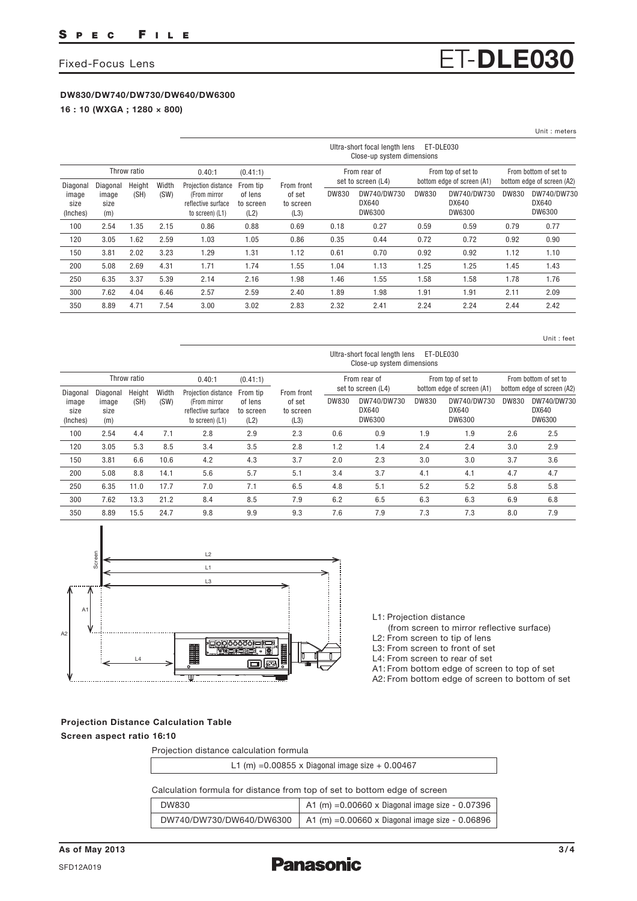## **DW830/DW740/DW730/DW640/DW6300**

**16 : 10 (WXGA ; 1280 × 800)**

|                                       |                                  |                |               |                                                                              |                                          |                                           |              |                                                             |                    |                                                              |                       | Unit : meters                                                |
|---------------------------------------|----------------------------------|----------------|---------------|------------------------------------------------------------------------------|------------------------------------------|-------------------------------------------|--------------|-------------------------------------------------------------|--------------------|--------------------------------------------------------------|-----------------------|--------------------------------------------------------------|
|                                       |                                  |                |               |                                                                              |                                          |                                           |              | Ultra-short focal length lens<br>Close-up system dimensions | ET-DLE030          |                                                              |                       |                                                              |
|                                       |                                  | Throw ratio    |               | 0.40:1                                                                       | (0.41:1)                                 |                                           | From rear of |                                                             | From top of set to |                                                              | From bottom of set to |                                                              |
| Diagonal<br>image<br>size<br>(Inches) | Diagonal<br>image<br>size<br>(m) | Height<br>(SH) | Width<br>(SW) | Projection distance<br>(From mirror<br>reflective surface<br>to screen) (L1) | From tip<br>of lens<br>to screen<br>(L2) | From front<br>of set<br>to screen<br>(L3) | <b>DW830</b> | set to screen (L4)<br>DW740/DW730<br>DX640<br>DW6300        | DW830              | bottom edge of screen (A1)<br>DW740/DW730<br>DX640<br>DW6300 | DW830                 | bottom edge of screen (A2)<br>DW740/DW730<br>DX640<br>DW6300 |
| 100                                   | 2.54                             | 1.35           | 2.15          | 0.86                                                                         | 0.88                                     | 0.69                                      | 0.18         | 0.27                                                        | 0.59               | 0.59                                                         | 0.79                  | 0.77                                                         |
| 120                                   | 3.05                             | 1.62           | 2.59          | 1.03                                                                         | 1.05                                     | 0.86                                      | 0.35         | 0.44                                                        | 0.72               | 0.72                                                         | 0.92                  | 0.90                                                         |
| 150                                   | 3.81                             | 2.02           | 3.23          | 1.29                                                                         | 1.31                                     | 1.12                                      | 0.61         | 0.70                                                        | 0.92               | 0.92                                                         | 1.12                  | 1.10                                                         |
| 200                                   | 5.08                             | 2.69           | 4.31          | 1.71                                                                         | 1.74                                     | 1.55                                      | 1.04         | 1.13                                                        | 1.25               | 1.25                                                         | 1.45                  | 1.43                                                         |
| 250                                   | 6.35                             | 3.37           | 5.39          | 2.14                                                                         | 2.16                                     | 1.98                                      | 1.46         | 1.55                                                        | 1.58               | 1.58                                                         | 1.78                  | 1.76                                                         |
| 300                                   | 7.62                             | 4.04           | 6.46          | 2.57                                                                         | 2.59                                     | 2.40                                      | 1.89         | 1.98                                                        | 1.91               | 1.91                                                         | 2.11                  | 2.09                                                         |
| 350                                   | 8.89                             | 4.71           | 7.54          | 3.00                                                                         | 3.02                                     | 2.83                                      | 2.32         | 2.41                                                        | 2.24               | 2.24                                                         | 2.44                  | 2.42                                                         |

Unit : feet

|                                       |                                  |                |               |                                                                              |                                          |                                           |                                    | Ultra-short focal length lens<br>Close-up system dimensions |                                                  | ET-DLE030                      |                                                     |                                |
|---------------------------------------|----------------------------------|----------------|---------------|------------------------------------------------------------------------------|------------------------------------------|-------------------------------------------|------------------------------------|-------------------------------------------------------------|--------------------------------------------------|--------------------------------|-----------------------------------------------------|--------------------------------|
| Throw ratio                           |                                  |                | 0.40:1        | (0.41:1)                                                                     |                                          |                                           | From rear of<br>set to screen (L4) |                                                             | From top of set to<br>bottom edge of screen (A1) |                                | From bottom of set to<br>bottom edge of screen (A2) |                                |
| Diagonal<br>image<br>size<br>(Inches) | Diagonal<br>image<br>size<br>(m) | Height<br>(SH) | Width<br>(SW) | Projection distance<br>(From mirror<br>reflective surface<br>to screen) (L1) | From tip<br>of lens<br>to screen<br>(L2) | From front<br>of set<br>to screen<br>(L3) | DW830                              | DW740/DW730<br>DX640<br>DW6300                              | DW830                                            | DW740/DW730<br>DX640<br>DW6300 | DW830                                               | DW740/DW730<br>DX640<br>DW6300 |
| 100                                   | 2.54                             | 4.4            | 7.1           | 2.8                                                                          | 2.9                                      | 2.3                                       | 0.6                                | 0.9                                                         | 1.9                                              | 1.9                            | 2.6                                                 | 2.5                            |
| 120                                   | 3.05                             | 5.3            | 8.5           | 3.4                                                                          | 3.5                                      | 2.8                                       | 1.2                                | 1.4                                                         | 2.4                                              | 2.4                            | 3.0                                                 | 2.9                            |
| 150                                   | 3.81                             | 6.6            | 10.6          | 4.2                                                                          | 4.3                                      | 3.7                                       | 2.0                                | 2.3                                                         | 3.0                                              | 3.0                            | 3.7                                                 | 3.6                            |
| 200                                   | 5.08                             | 8.8            | 14.1          | 5.6                                                                          | 5.7                                      | 5.1                                       | 3.4                                | 3.7                                                         | 4.1                                              | 4.1                            | 4.7                                                 | 4.7                            |
| 250                                   | 6.35                             | 11.0           | 17.7          | 7.0                                                                          | 7.1                                      | 6.5                                       | 4.8                                | 5.1                                                         | 5.2                                              | 5.2                            | 5.8                                                 | 5.8                            |
| 300                                   | 7.62                             | 13.3           | 21.2          | 8.4                                                                          | 8.5                                      | 7.9                                       | 6.2                                | 6.5                                                         | 6.3                                              | 6.3                            | 6.9                                                 | 6.8                            |
| 350                                   | 8.89                             | 15.5           | 24.7          | 9.8                                                                          | 9.9                                      | 9.3                                       | 7.6                                | 7.9                                                         | 7.3                                              | 7.3                            | 8.0                                                 | 7.9                            |



L1: Projection distance

 (from screen to mirror reflective surface) L2: From screen to tip of lens

L3: From screen to front of set

L4: From screen to rear of set

A1: From bottom edge of screen to top of set

A2: From bottom edge of screen to bottom of set

### **Projection Distance Calculation Table Screen aspect ratio 16:10**

Projection distance calculation formula

| L1 (m) = $0.00855$ x Diagonal image size + $0.00467$ |
|------------------------------------------------------|
|                                                      |

## Calculation formula for distance from top of set to bottom edge of screen

| DW830 | $\vert$ A1 (m) = 0.00660 x Diagonal image size - 0.07396                   |
|-------|----------------------------------------------------------------------------|
|       | DW740/DW730/DW640/DW6300   A1 (m) =0.00660 x Diagonal image size - 0.06896 |